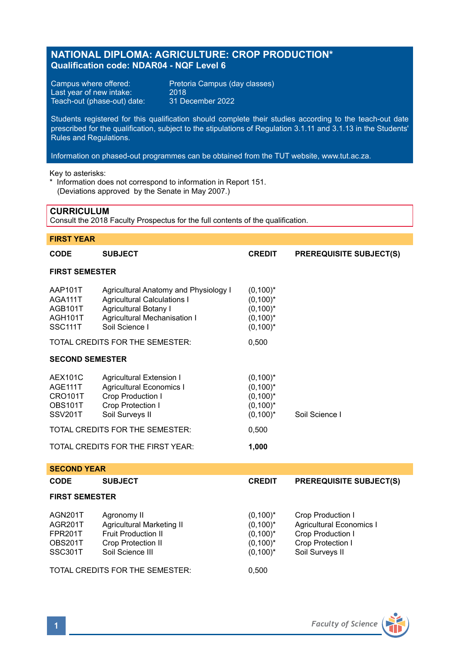# **NATIONAL DIPLOMA: AGRICULTURE: CROP PRODUCTION\* Qualification code: NDAR04 - NQF Level 6**

Last year of new intake: 2018<br>Teach-out (phase-out) date: 31 December 2022 Teach-out (phase-out) date:

Campus where offered: Pretoria Campus (day classes)<br>Last year of new intake: 2018

Students registered for this qualification should complete their studies according to the teach-out date prescribed for the qualification, subject to the stipulations of Regulation 3.1.11 and 3.1.13 in the Students' Rules and Regulations.

Information on phased-out programmes can be obtained from the TUT website, www.tut.ac.za.

Key to asterisks:

\* Information does not correspond to information in Report 151. (Deviations approved by the Senate in May 2007.)

# **CURRICULUM**

Consult the 2018 Faculty Prospectus for the full contents of the qualification.

# **FIRST YEAR**

| CODE                                                                     | <b>SUBJECT</b>                                                                                                                                         | <b>CREDIT</b>                                                           | <b>PREREQUISITE SUBJECT(S)</b>                                                                                    |  |  |  |
|--------------------------------------------------------------------------|--------------------------------------------------------------------------------------------------------------------------------------------------------|-------------------------------------------------------------------------|-------------------------------------------------------------------------------------------------------------------|--|--|--|
| <b>FIRST SEMESTER</b>                                                    |                                                                                                                                                        |                                                                         |                                                                                                                   |  |  |  |
| AAP101T<br>AGA111T<br>AGB101T<br>AGH101T<br>SSC111T                      | Agricultural Anatomy and Physiology I<br><b>Agricultural Calculations I</b><br>Agricultural Botany I<br>Agricultural Mechanisation I<br>Soil Science I | $(0,100)^*$<br>$(0,100)^*$<br>$(0,100)^*$<br>$(0,100)^*$<br>$(0,100)^*$ |                                                                                                                   |  |  |  |
| TOTAL CREDITS FOR THE SEMESTER:                                          |                                                                                                                                                        | 0,500                                                                   |                                                                                                                   |  |  |  |
| <b>SECOND SEMESTER</b>                                                   |                                                                                                                                                        |                                                                         |                                                                                                                   |  |  |  |
| <b>AEX101C</b><br>AGE111T<br><b>CRO101T</b><br>OBS101T<br><b>SSV201T</b> | <b>Agricultural Extension I</b><br><b>Agricultural Economics I</b><br>Crop Production I<br>Crop Protection I<br>Soil Surveys II                        | $(0,100)^*$<br>$(0,100)^*$<br>$(0,100)^*$<br>$(0,100)^*$<br>$(0,100)^*$ | Soil Science I                                                                                                    |  |  |  |
|                                                                          | TOTAL CREDITS FOR THE SEMESTER:                                                                                                                        | 0,500                                                                   |                                                                                                                   |  |  |  |
|                                                                          | TOTAL CREDITS FOR THE FIRST YEAR:                                                                                                                      | 1,000                                                                   |                                                                                                                   |  |  |  |
| <b>SECOND YEAR</b>                                                       |                                                                                                                                                        |                                                                         |                                                                                                                   |  |  |  |
| CODE                                                                     | <b>SUBJECT</b>                                                                                                                                         | <b>CREDIT</b>                                                           | <b>PREREQUISITE SUBJECT(S)</b>                                                                                    |  |  |  |
| <b>FIRST SEMESTER</b>                                                    |                                                                                                                                                        |                                                                         |                                                                                                                   |  |  |  |
| AGN201T<br>AGR201T<br><b>FPR201T</b><br>OBS201T<br>SSC301T               | Agronomy II<br>Agricultural Marketing II<br>Fruit Production II<br>Crop Protection II<br>Soil Science III                                              | $(0,100)^*$<br>$(0,100)^*$<br>$(0,100)^*$<br>$(0,100)^*$<br>$(0,100)^*$ | Crop Production I<br><b>Agricultural Economics I</b><br>Crop Production I<br>Crop Protection I<br>Soil Surveys II |  |  |  |
|                                                                          | TOTAL CREDITS FOR THE SEMESTER:                                                                                                                        | 0,500                                                                   |                                                                                                                   |  |  |  |

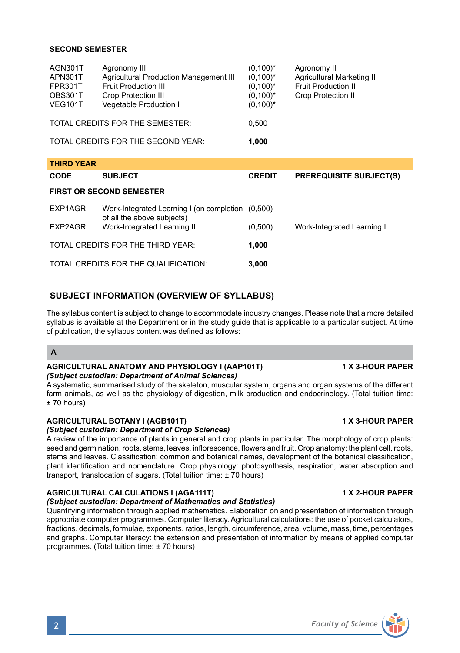# **SECOND SEMESTER**

| AGN301T<br>APN301T<br>FPR301T<br>OBS301T<br><b>VEG101T</b> | Agronomy III<br>Agricultural Production Management III<br>Fruit Production III<br><b>Crop Protection III</b><br>Vegetable Production I | $(0,100)^*$<br>$(0,100)^*$<br>$(0,100)^*$<br>$(0,100)^*$<br>$(0,100)^*$ | Agronomy II<br>Agricultural Marketing II<br><b>Fruit Production II</b><br><b>Crop Protection II</b> |
|------------------------------------------------------------|----------------------------------------------------------------------------------------------------------------------------------------|-------------------------------------------------------------------------|-----------------------------------------------------------------------------------------------------|
| TOTAL CREDITS FOR THE SEMESTER:                            |                                                                                                                                        | 0.500                                                                   |                                                                                                     |
| TOTAL CREDITS FOR THE SECOND YEAR:                         |                                                                                                                                        | 1.000                                                                   |                                                                                                     |

| <b>THIRD YEAR</b>                 |                                                                                 |               |                                |  |  |  |  |
|-----------------------------------|---------------------------------------------------------------------------------|---------------|--------------------------------|--|--|--|--|
| <b>CODE</b>                       | <b>SUBJECT</b>                                                                  | <b>CREDIT</b> | <b>PREREQUISITE SUBJECT(S)</b> |  |  |  |  |
| <b>FIRST OR SECOND SEMESTER</b>   |                                                                                 |               |                                |  |  |  |  |
| EXP1AGR                           | Work-Integrated Learning I (on completion (0,500)<br>of all the above subjects) |               |                                |  |  |  |  |
| EXP2AGR                           | Work-Integrated Learning II                                                     | (0,500)       | Work-Integrated Learning I     |  |  |  |  |
| TOTAL CREDITS FOR THE THIRD YEAR: |                                                                                 | 1.000         |                                |  |  |  |  |
|                                   | TOTAL CREDITS FOR THE QUALIFICATION:                                            | 3.000         |                                |  |  |  |  |

# **SUBJECT INFORMATION (OVERVIEW OF SYLLABUS)**

The syllabus content is subject to change to accommodate industry changes. Please note that a more detailed syllabus is available at the Department or in the study quide that is applicable to a particular subject. At time of publication, the syllabus content was defined as follows:

### **A**

### **AGRICULTURAL ANATOMY AND PHYSIOLOGY I (AAP101T) 1 X 3-HOUR PAPER** *(Subject custodian: Department of Animal Sciences)*

A systematic, summarised study of the skeleton, muscular system, organs and organ systems of the different farm animals, as well as the physiology of digestion, milk production and endocrinology. (Total tuition time: ± 70 hours)

# **AGRICULTURAL BOTANY I (AGB101T) 1 X 3-HOUR PAPER**

# *(Subject custodian: Department of Crop Sciences)*

A review of the importance of plants in general and crop plants in particular. The morphology of crop plants: seed and germination, roots, stems, leaves, inflorescence, flowers and fruit. Crop anatomy: the plant cell, roots, stems and leaves. Classification: common and botanical names, development of the botanical classification, plant identification and nomenclature. Crop physiology: photosynthesis, respiration, water absorption and transport, translocation of sugars. (Total tuition time: ± 70 hours)

# **AGRICULTURAL CALCULATIONS I (AGA111T) 1 X 2-HOUR PAPER**

# *(Subject custodian: Department of Mathematics and Statistics)*

Quantifying information through applied mathematics. Elaboration on and presentation of information through appropriate computer programmes. Computer literacy. Agricultural calculations: the use of pocket calculators, fractions, decimals, formulae, exponents, ratios, length, circumference, area, volume, mass, time, percentages and graphs. Computer literacy: the extension and presentation of information by means of applied computer programmes. (Total tuition time: ± 70 hours)

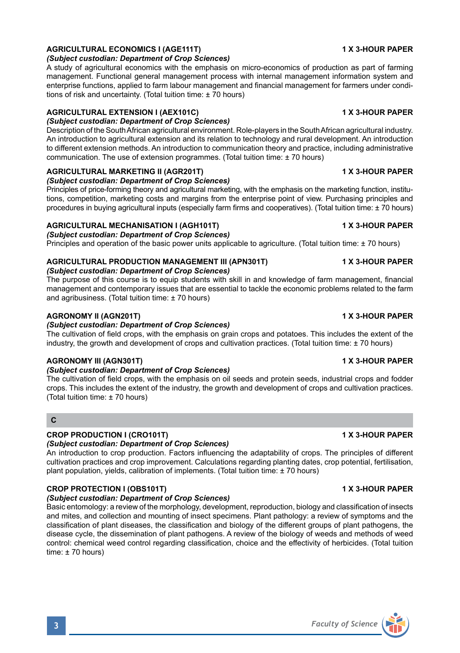# **AGRICULTURAL ECONOMICS I (AGE111T) 1 X 3-HOUR PAPER**

*(Subject custodian: Department of Crop Sciences)*

A study of agricultural economics with the emphasis on micro-economics of production as part of farming management. Functional general management process with internal management information system and enterprise functions, applied to farm labour management and financial management for farmers under conditions of risk and uncertainty. (Total tuition time: ± 70 hours)

# **AGRICULTURAL EXTENSION I (AEX101C) 1 X 3-HOUR PAPER**

# *(Subject custodian: Department of Crop Sciences)*

Description of the South African agricultural environment. Role-players in the South African agricultural industry. An introduction to agricultural extension and its relation to technology and rural development. An introduction to different extension methods. An introduction to communication theory and practice, including administrative communication. The use of extension programmes. (Total tuition time: ± 70 hours)

# **AGRICULTURAL MARKETING II (AGR201T) 1 X 3-HOUR PAPER**

*(Subject custodian: Department of Crop Sciences)*

Principles of price-forming theory and agricultural marketing, with the emphasis on the marketing function, institutions, competition, marketing costs and margins from the enterprise point of view. Purchasing principles and procedures in buying agricultural inputs (especially farm firms and cooperatives). (Total tuition time: ± 70 hours)

## **AGRICULTURAL MECHANISATION I (AGH101T) 1 X 3-HOUR PAPER**

### *(Subject custodian: Department of Crop Sciences)*

Principles and operation of the basic power units applicable to agriculture. (Total tuition time: ± 70 hours)

# **AGRICULTURAL PRODUCTION MANAGEMENT III (APN301T) 1 X 3-HOUR PAPER**

*(Subject custodian: Department of Crop Sciences)*

The purpose of this course is to equip students with skill in and knowledge of farm management, financial management and contemporary issues that are essential to tackle the economic problems related to the farm and agribusiness. (Total tuition time: ± 70 hours)

# **AGRONOMY II (AGN201T) 1 X 3-HOUR PAPER**

### *(Subject custodian: Department of Crop Sciences)*

The cultivation of field crops, with the emphasis on grain crops and potatoes. This includes the extent of the industry, the growth and development of crops and cultivation practices. (Total tuition time: ± 70 hours)

## **AGRONOMY III (AGN301T) 1 X 3-HOUR PAPER**

## *(Subject custodian: Department of Crop Sciences)*

The cultivation of field crops, with the emphasis on oil seeds and protein seeds, industrial crops and fodder crops. This includes the extent of the industry, the growth and development of crops and cultivation practices. (Total tuition time: ± 70 hours)

# **C**

## **CROP PRODUCTION I (CRO101T) 1 X 3-HOUR PAPER**

### *(Subject custodian: Department of Crop Sciences)*

An introduction to crop production. Factors influencing the adaptability of crops. The principles of different cultivation practices and crop improvement. Calculations regarding planting dates, crop potential, fertilisation, plant population, yields, calibration of implements. (Total tuition time: ± 70 hours)

# **CROP PROTECTION I (OBS101T) 1 X 3-HOUR PAPER**

### *(Subject custodian: Department of Crop Sciences)*

Basic entomology: a review of the morphology, development, reproduction, biology and classification of insects and mites, and collection and mounting of insect specimens. Plant pathology: a review of symptoms and the classification of plant diseases, the classification and biology of the different groups of plant pathogens, the disease cycle, the dissemination of plant pathogens. A review of the biology of weeds and methods of weed control: chemical weed control regarding classification, choice and the effectivity of herbicides. (Total tuition time: ± 70 hours)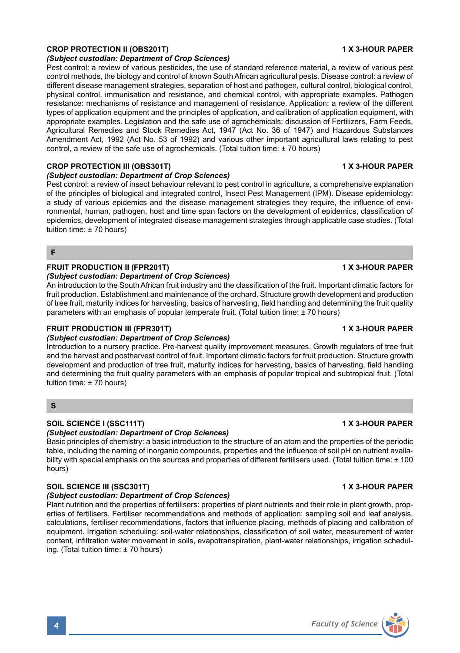# **CROP PROTECTION II (OBS201T) 1 X 3-HOUR PAPER**

### *(Subject custodian: Department of Crop Sciences)*

Pest control: a review of various pesticides, the use of standard reference material, a review of various pest control methods, the biology and control of known South African agricultural pests. Disease control: a review of different disease management strategies, separation of host and pathogen, cultural control, biological control, physical control, immunisation and resistance, and chemical control, with appropriate examples. Pathogen resistance: mechanisms of resistance and management of resistance. Application: a review of the different types of application equipment and the principles of application, and calibration of application equipment, with appropriate examples. Legislation and the safe use of agrochemicals: discussion of Fertilizers, Farm Feeds, Agricultural Remedies and Stock Remedies Act, 1947 (Act No. 36 of 1947) and Hazardous Substances Amendment Act, 1992 (Act No. 53 of 1992) and various other important agricultural laws relating to pest control, a review of the safe use of agrochemicals. (Total tuition time: ± 70 hours)

### **CROP PROTECTION III (OBS301T) 1 X 3-HOUR PAPER**

## *(Subject custodian: Department of Crop Sciences)*

Pest control: a review of insect behaviour relevant to pest control in agriculture, a comprehensive explanation of the principles of biological and integrated control, Insect Pest Management (IPM). Disease epidemiology: a study of various epidemics and the disease management strategies they require, the influence of environmental, human, pathogen, host and time span factors on the development of epidemics, classification of epidemics, development of integrated disease management strategies through applicable case studies. (Total tuition time: ± 70 hours)

### **F**

### **FRUIT PRODUCTION II (FPR201T) 1 X 3-HOUR PAPER**

### *(Subject custodian: Department of Crop Sciences)*

An introduction to the South African fruit industry and the classification of the fruit. Important climatic factors for fruit production. Establishment and maintenance of the orchard. Structure growth development and production of tree fruit, maturity indices for harvesting, basics of harvesting, field handling and determining the fruit quality parameters with an emphasis of popular temperate fruit. (Total tuition time: ± 70 hours)

### **FRUIT PRODUCTION III (FPR301T) 1 X 3-HOUR PAPER**

### *(Subject custodian: Department of Crop Sciences)*

Introduction to a nursery practice. Pre-harvest quality improvement measures. Growth regulators of tree fruit and the harvest and postharvest control of fruit. Important climatic factors for fruit production. Structure growth development and production of tree fruit, maturity indices for harvesting, basics of harvesting, field handling and determining the fruit quality parameters with an emphasis of popular tropical and subtropical fruit. (Total tuition time: ± 70 hours)

# **S**

# **SOIL SCIENCE I (SSC111T)** 1 X 3-HOUR PAPER

### *(Subject custodian: Department of Crop Sciences)*

Basic principles of chemistry: a basic introduction to the structure of an atom and the properties of the periodic table, including the naming of inorganic compounds, properties and the influence of soil pH on nutrient availability with special emphasis on the sources and properties of different fertilisers used. (Total tuition time: ± 100 hours)

## **SOIL SCIENCE III (SSC301T) 1 X 3-HOUR PAPER**

### *(Subject custodian: Department of Crop Sciences)*

Plant nutrition and the properties of fertilisers: properties of plant nutrients and their role in plant growth, properties of fertilisers. Fertiliser recommendations and methods of application: sampling soil and leaf analysis, calculations, fertiliser recommendations, factors that influence placing, methods of placing and calibration of equipment. Irrigation scheduling: soil-water relationships, classification of soil water, measurement of water content, infiltration water movement in soils, evapotranspiration, plant-water relationships, irrigation scheduling. (Total tuition time: ± 70 hours)